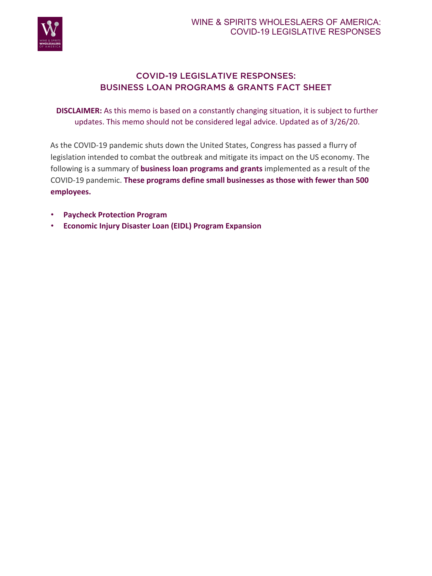

# COVID-19 LEGISLATIVE RESPONSES: BUSINESS LOAN PROGRAMS & GRANTS FACT SHEET

**DISCLAIMER:** As this memo is based on a constantly changing situation, it is subject to further updates. This memo should not be considered legal advice. Updated as of 3/26/20.

As the COVID-19 pandemic shuts down the United States, Congress has passed a flurry of legislation intended to combat the outbreak and mitigate its impact on the US economy. The following is a summary of **business loan programs and grants** implemented as a result of the COVID-19 pandemic. **These programs define small businesses as those with fewer than 500 employees.** 

- **Paycheck Protection Program**
- **Economic Injury Disaster Loan (EIDL) Program Expansion**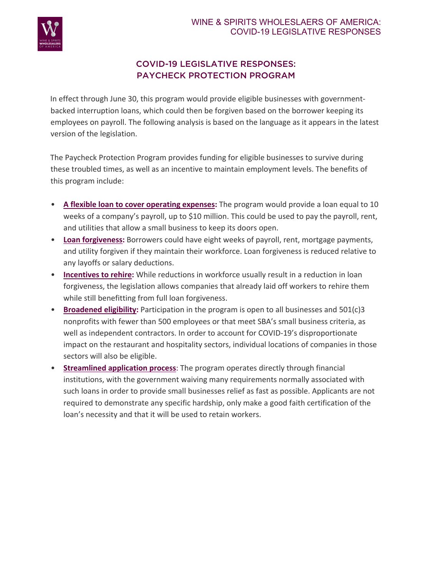

# COVID-19 LEGISLATIVE RESPONSES: PAYCHECK PROTECTION PROGRAM

In effect through June 30, this program would provide eligible businesses with governmentbacked interruption loans, which could then be forgiven based on the borrower keeping its employees on payroll. The following analysis is based on the language as it appears in the latest version of the legislation.

The Paycheck Protection Program provides funding for eligible businesses to survive during these troubled times, as well as an incentive to maintain employment levels. The benefits of this program include:

- **A flexible loan to cover operating expenses:** The program would provide a loan equal to 10 weeks of a company's payroll, up to \$10 million. This could be used to pay the payroll, rent, and utilities that allow a small business to keep its doors open.
- **Loan forgiveness:** Borrowers could have eight weeks of payroll, rent, mortgage payments, and utility forgiven if they maintain their workforce. Loan forgiveness is reduced relative to any layoffs or salary deductions.
- **Incentives to rehire:** While reductions in workforce usually result in a reduction in loan forgiveness, the legislation allows companies that already laid off workers to rehire them while still benefitting from full loan forgiveness.
- **Broadened eligibility:** Participation in the program is open to all businesses and 501(c)3 nonprofits with fewer than 500 employees or that meet SBA's small business criteria, as well as independent contractors. In order to account for COVID-19's disproportionate impact on the restaurant and hospitality sectors, individual locations of companies in those sectors will also be eligible.
- **Streamlined application process**: The program operates directly through financial institutions, with the government waiving many requirements normally associated with such loans in order to provide small businesses relief as fast as possible. Applicants are not required to demonstrate any specific hardship, only make a good faith certification of the loan's necessity and that it will be used to retain workers.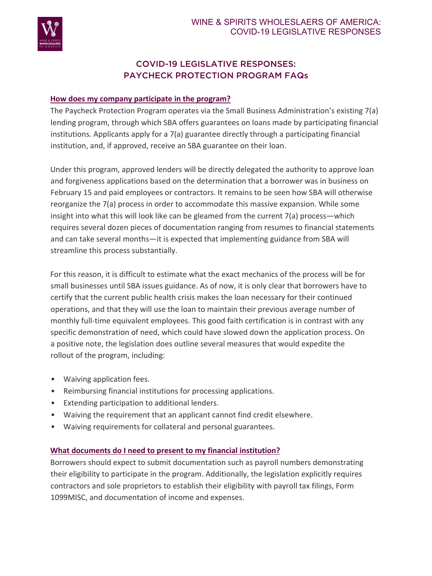

# COVID-19 LEGISLATIVE RESPONSES: PAYCHECK PROTECTION PROGRAM FAQs

## **How does my company participate in the program?**

The Paycheck Protection Program operates via the Small Business Administration's existing 7(a) lending program, through which SBA offers guarantees on loans made by participating financial institutions. Applicants apply for a 7(a) guarantee directly through a participating financial institution, and, if approved, receive an SBA guarantee on their loan.

Under this program, approved lenders will be directly delegated the authority to approve loan and forgiveness applications based on the determination that a borrower was in business on February 15 and paid employees or contractors. It remains to be seen how SBA will otherwise reorganize the 7(a) process in order to accommodate this massive expansion. While some insight into what this will look like can be gleamed from the current 7(a) process—which requires several dozen pieces of documentation ranging from resumes to financial statements and can take several months—it is expected that implementing guidance from SBA will streamline this process substantially.

For this reason, it is difficult to estimate what the exact mechanics of the process will be for small businesses until SBA issues guidance. As of now, it is only clear that borrowers have to certify that the current public health crisis makes the loan necessary for their continued operations, and that they will use the loan to maintain their previous average number of monthly full-time equivalent employees. This good faith certification is in contrast with any specific demonstration of need, which could have slowed down the application process. On a positive note, the legislation does outline several measures that would expedite the rollout of the program, including:

- Waiving application fees.
- Reimbursing financial institutions for processing applications.
- Extending participation to additional lenders.
- Waiving the requirement that an applicant cannot find credit elsewhere.
- Waiving requirements for collateral and personal guarantees.

# **What documents do I need to present to my financial institution?**

Borrowers should expect to submit documentation such as payroll numbers demonstrating their eligibility to participate in the program. Additionally, the legislation explicitly requires contractors and sole proprietors to establish their eligibility with payroll tax filings, Form 1099MISC, and documentation of income and expenses.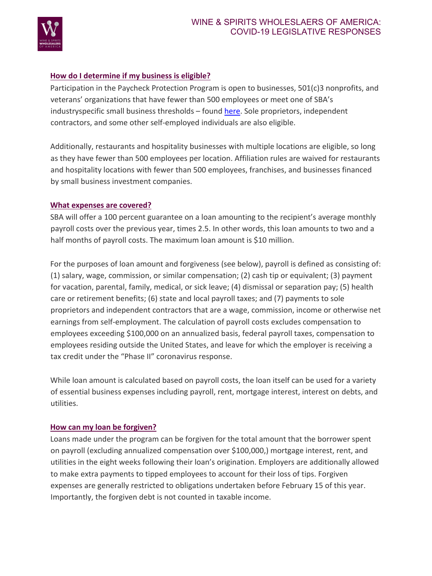

## **How do I determine if my business is eligible?**

Participation in the Paycheck Protection Program is open to businesses, 501(c)3 nonprofits, and veterans' organizations that have fewer than 500 employees or meet one of SBA's industryspecific small business thresholds – found here. Sole proprietors, independent contractors, and some other self-employed individuals are also eligible.

Additionally, restaurants and hospitality businesses with multiple locations are eligible, so long as they have fewer than 500 employees per location. Affiliation rules are waived for restaurants and hospitality locations with fewer than 500 employees, franchises, and businesses financed by small business investment companies.

#### **What expenses are covered?**

SBA will offer a 100 percent guarantee on a loan amounting to the recipient's average monthly payroll costs over the previous year, times 2.5. In other words, this loan amounts to two and a half months of payroll costs. The maximum loan amount is \$10 million.

For the purposes of loan amount and forgiveness (see below), payroll is defined as consisting of: (1) salary, wage, commission, or similar compensation; (2) cash tip or equivalent; (3) payment for vacation, parental, family, medical, or sick leave; (4) dismissal or separation pay; (5) health care or retirement benefits; (6) state and local payroll taxes; and (7) payments to sole proprietors and independent contractors that are a wage, commission, income or otherwise net earnings from self-employment. The calculation of payroll costs excludes compensation to employees exceeding \$100,000 on an annualized basis, federal payroll taxes, compensation to employees residing outside the United States, and leave for which the employer is receiving a tax credit under the "Phase II" coronavirus response.

While loan amount is calculated based on payroll costs, the loan itself can be used for a variety of essential business expenses including payroll, rent, mortgage interest, interest on debts, and utilities.

### **How can my loan be forgiven?**

Loans made under the program can be forgiven for the total amount that the borrower spent on payroll (excluding annualized compensation over \$100,000,) mortgage interest, rent, and utilities in the eight weeks following their loan's origination. Employers are additionally allowed to make extra payments to tipped employees to account for their loss of tips. Forgiven expenses are generally restricted to obligations undertaken before February 15 of this year. Importantly, the forgiven debt is not counted in taxable income.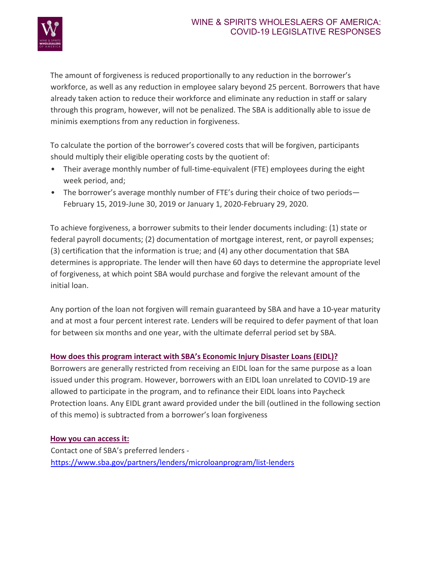

The amount of forgiveness is reduced proportionally to any reduction in the borrower's workforce, as well as any reduction in employee salary beyond 25 percent. Borrowers that have already taken action to reduce their workforce and eliminate any reduction in staff or salary through this program, however, will not be penalized. The SBA is additionally able to issue de minimis exemptions from any reduction in forgiveness.

To calculate the portion of the borrower's covered costs that will be forgiven, participants should multiply their eligible operating costs by the quotient of:

- Their average monthly number of full-time-equivalent (FTE) employees during the eight week period, and;
- The borrower's average monthly number of FTE's during their choice of two periods-February 15, 2019-June 30, 2019 or January 1, 2020-February 29, 2020.

To achieve forgiveness, a borrower submits to their lender documents including: (1) state or federal payroll documents; (2) documentation of mortgage interest, rent, or payroll expenses; (3) certification that the information is true; and (4) any other documentation that SBA determines is appropriate. The lender will then have 60 days to determine the appropriate level of forgiveness, at which point SBA would purchase and forgive the relevant amount of the initial loan.

Any portion of the loan not forgiven will remain guaranteed by SBA and have a 10-year maturity and at most a four percent interest rate. Lenders will be required to defer payment of that loan for between six months and one year, with the ultimate deferral period set by SBA.

# **How does this program interact with SBA's Economic Injury Disaster Loans (EIDL)?**

Borrowers are generally restricted from receiving an EIDL loan for the same purpose as a loan issued under this program. However, borrowers with an EIDL loan unrelated to COVID-19 are allowed to participate in the program, and to refinance their EIDL loans into Paycheck Protection loans. Any EIDL grant award provided under the bill (outlined in the following section of this memo) is subtracted from a borrower's loan forgiveness

# **How you can access it:**

Contact one of SBA's preferred lenders https://www.sba.gov/partners/lenders/microloanprogram/list-lenders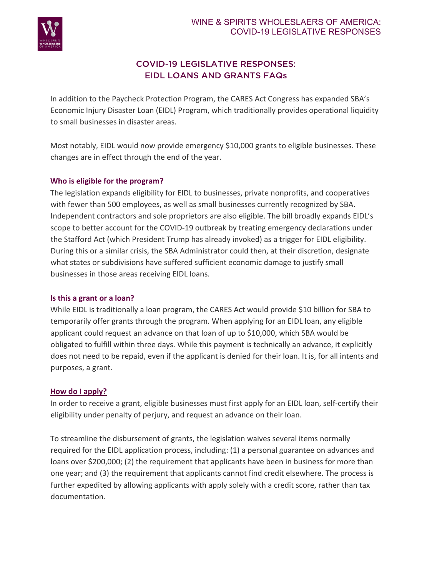

# COVID-19 LEGISLATIVE RESPONSES: EIDL LOANS AND GRANTS FAQs

In addition to the Paycheck Protection Program, the CARES Act Congress has expanded SBA's Economic Injury Disaster Loan (EIDL) Program, which traditionally provides operational liquidity to small businesses in disaster areas.

Most notably, EIDL would now provide emergency \$10,000 grants to eligible businesses. These changes are in effect through the end of the year.

## **Who is eligible for the program?**

The legislation expands eligibility for EIDL to businesses, private nonprofits, and cooperatives with fewer than 500 employees, as well as small businesses currently recognized by SBA. Independent contractors and sole proprietors are also eligible. The bill broadly expands EIDL's scope to better account for the COVID-19 outbreak by treating emergency declarations under the Stafford Act (which President Trump has already invoked) as a trigger for EIDL eligibility. During this or a similar crisis, the SBA Administrator could then, at their discretion, designate what states or subdivisions have suffered sufficient economic damage to justify small businesses in those areas receiving EIDL loans.

### **Is this a grant or a loan?**

While EIDL is traditionally a loan program, the CARES Act would provide \$10 billion for SBA to temporarily offer grants through the program. When applying for an EIDL loan, any eligible applicant could request an advance on that loan of up to \$10,000, which SBA would be obligated to fulfill within three days. While this payment is technically an advance, it explicitly does not need to be repaid, even if the applicant is denied for their loan. It is, for all intents and purposes, a grant.

### **How do I apply?**

In order to receive a grant, eligible businesses must first apply for an EIDL loan, self-certify their eligibility under penalty of perjury, and request an advance on their loan.

To streamline the disbursement of grants, the legislation waives several items normally required for the EIDL application process, including: (1) a personal guarantee on advances and loans over \$200,000; (2) the requirement that applicants have been in business for more than one year; and (3) the requirement that applicants cannot find credit elsewhere. The process is further expedited by allowing applicants with apply solely with a credit score, rather than tax documentation.